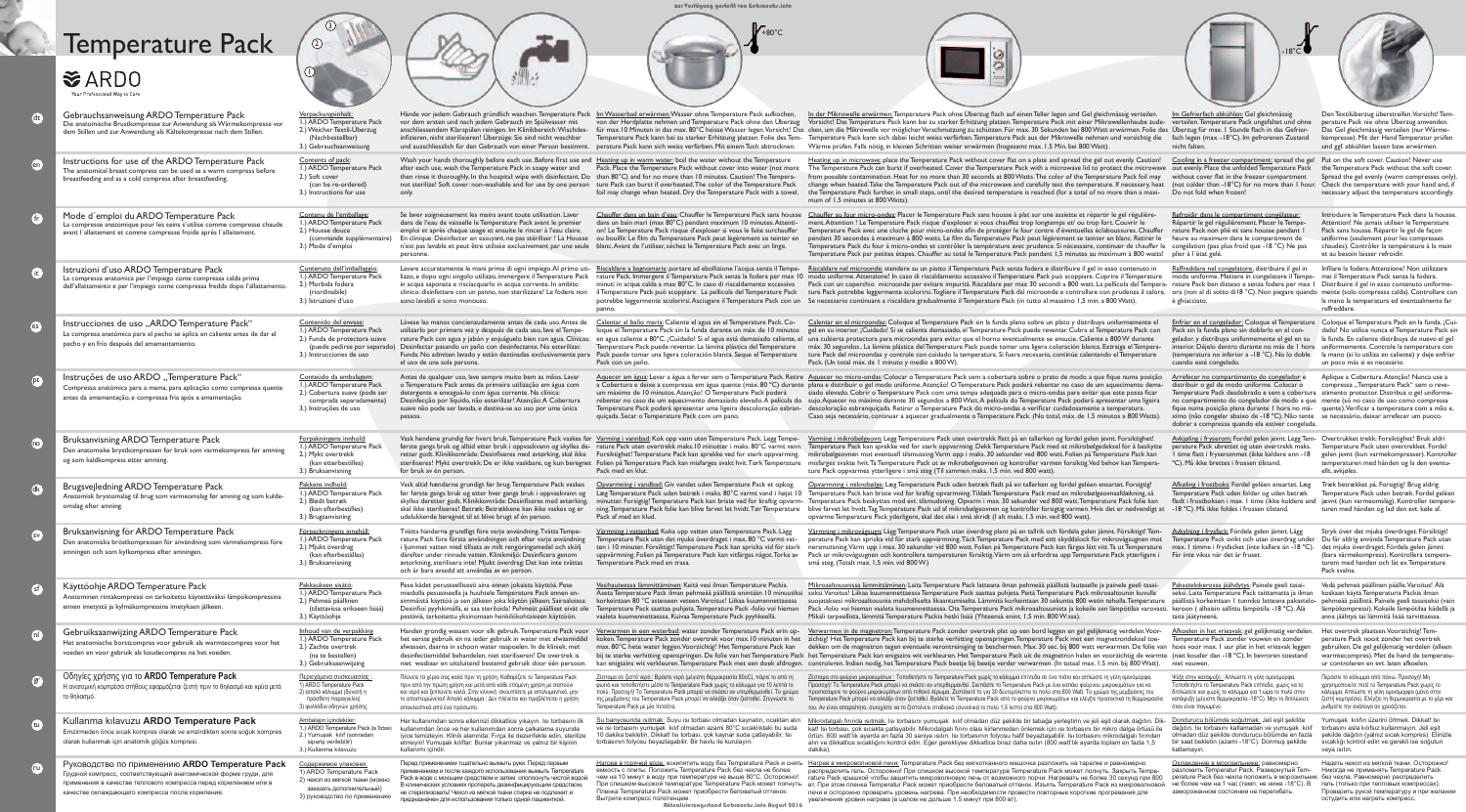## warmtecompres). Met de hand de tem ur controleren en evt. laten afkoelen. Περάστε το κάλυμμα από πάνω. Προσοχή! Μη χρησιμοποιείτε ποτέ το Temperature Pack χωρί ...<br>κάλυμμα. Απλώστε τη γέλη ομοιόμορφα (μόνο α ζεστή κομπρέσα). Ελέγξτε τη θερμοκρασία με το ρυθμίστε την ανάλογα αν χρειάζεται. Yumuşak kılıfın üzerini örtmek. Dikkat!

| <u>In der Mikrowelle erwärmen:</u> Temperature Pack ohne Überzug flach auf einen Teller legen und Gel gleichmässig verteilen.<br>Vorsicht! Das Temperature Pack kann bei zu starker Erhitzung platzen. Temperature Pack mit einer Mikrowellenhaube zude-<br>cken, um die Mikrowelle vor möglicher Verschmutzung zu schützen. Für max. 30 Sekunden bei 800 Watt erwärmen. Folie des Überzug für max. I Stunde flach in das Gefrier-<br>Temperature Pack kann sich dabei leicht weiss verfärben. Temperature Pack aus der Mikrowelle nehmen und vorsichtig die<br>Wärme prüfen. Falls nötig, in kleinen Schritten weiter erwärmen (Insgesamt max. 1.5 Min. bei 800 Watt).                                                                                       | Im Gefrierfach abkühlen: Gel gleichmässig<br>verteilen. Temperature Pack ungefaltet und ohne<br>fach legen (max. - 18°C). Im gefrorenen Zustand<br>nicht falten.                                                                                                                                                                                     | Den Textilüberzug überstreifen. Vorsicht! Tem-<br>perature Pack nie ohne Überzug anwenden.<br>Das Gel gleichmässig verteilen (nur Wärme-<br>kompresse). Mit der Hand Temperatur prüfen<br>und ggf. abkühlen lassen bzw. erwärmen.                                                        |
|---------------------------------------------------------------------------------------------------------------------------------------------------------------------------------------------------------------------------------------------------------------------------------------------------------------------------------------------------------------------------------------------------------------------------------------------------------------------------------------------------------------------------------------------------------------------------------------------------------------------------------------------------------------------------------------------------------------------------------------------------------------|------------------------------------------------------------------------------------------------------------------------------------------------------------------------------------------------------------------------------------------------------------------------------------------------------------------------------------------------------|------------------------------------------------------------------------------------------------------------------------------------------------------------------------------------------------------------------------------------------------------------------------------------------|
| Heating up in microwave: place the Temperature Pack without cover flat on a plate and spread the gel out evenly. Caution!<br>The Temperature Pack can burst if overheated. Cover the Temperature Pack with a microwave lid to protect the microwave out evenly. Place the unfolded Temperature Pack<br>from possible contamination. Heat for no more than 30 seconds at 800 Watts. The color of the Temperature Pack foil may<br>change when heated. Take the Temperature Pack out of the microwave and carefully test the temperature. If necessary, heat<br>the Temperature Pack further, in small steps, until the desired temperature is reached (for a total of no more than a maxi-<br>mum of 1.5 minutes at 800 Watts).                                | Cooling in a freezer compartment: spread the gel<br>without cover flat in the freezer compartment<br>(not colder than -18°C) for no more than 1 hour.<br>Do not fold when frozen!                                                                                                                                                                    | Put on the soft cover. Caution! Never use<br>the Temperature Pack without the soft cover.<br>Spread the gel evenly (warm compresses only).<br>Check the temperature with your hand and, if<br>necessary adjust the temperature accordingly.                                              |
| Chauffer au four micro-ondes: Placer le Temperature Pack sans housse à plat sur une assiette et répartir le gel régulière-<br>ment. Attention! Le Temperature Pack risque d'exploser si vous chauffez trop longtemps et/ ou trop fort. Couvrir le<br>Temperature Pack avec une cloche pour micro-ondes afin de protéger le four contre d'éventuelles éclaboussures. Chauffer<br>pendant 30 secondes à maximum à 800 watts. Le film du Temperature Pack peut légèrement se teinter en blanc. Retirer le<br>Temperature Pack du four à micro-ondes et contrôler la température avec prudence. Si nécessaire, continuer de chauffer le<br>Temperature Pack par petites étapes. Chauffer au total le Temperature Pack pendant 1,5 minutes au maximum à 800 watts! | Refroidir dans le compartiment congélateur:<br>Répartir le gel régulièrement. Placer le Tempe-<br>rature Pack non plié et sans housse pendant I<br>heure au maximum dans le compartiment de<br>congélation (pas plus froid que -18 °C) Ne pas<br>plier à l'état gelé.                                                                                | Introduire le Temperature Pack dans la housse.<br>Attention! Ne jamais utiliser le Temperature<br>Pack sans housse. Répartir le gel de façon<br>uniforme (seulement pour les compresses<br>chaudes). Contrôler la température à la main<br>et au besoin laisser refroidir.               |
| Riscaldare nel microonde: stendere su un piatto il Temperature Pack senza fodera e distribuire il gel in esso contenuto in<br>modo uniforme. Attenzione! In caso di riscaldamento eccessivo il Temperature Pack può scoppiare. Coprire il Temperature<br>Pack con un coperchio microonde per evitare impurità. Riscaldare per max 30 secondi a 800 watt. La pellicola del Tempera-<br>ture Pack potrebbe leggermente scolorirsi. Togliere il Temperature Pack dal microonde e controllare con prudenza il calore.<br>Se necessario continuare a riscaldare gradualmente il Temperature Pack (in tutto al massimo 1,5 min. a 800 Watt).                                                                                                                        | Raffreddare nel congelatore, distribuire il gel in<br>modo uniforme. Mettere in congelatore il Tempe-<br>rature Pack ben disteso e senza fodera per max I<br>ora (non al di sotto di l8 °C). Non piegare quando<br>è ghiacciato.                                                                                                                     | Infilare la fodera: Attenzione! Non utilizzare<br>mai il Temperature Pack senza la fodera.<br>Distribuire il gel in esso contenuto uniforme-<br>mente (solo compressa calda). Controllare con<br>la mano la temperatura ed eventualmente far<br>raffreddare.                             |
| Calentar en el microondas: Coloque el Temperature Pack sin la funda plano sobre un plato y distribuya uniformemente el<br>gel en su interior. ¡Cuidado! Si se calienta demasiado, el Temperature Pack puede reventar. Cubra el Temperature Pack con<br>una cubierta protectora para microondas para evitar que el horno eventualmente se ensucie. Caliente a 800W durante<br>máx. 30 segundos La lámina plástica del Temperature Pack puede tomar una ligera coloración blanca. Extraiga el Tempera<br>ture Pack del microondas y controle con cuidado la temperatura. Si fuera necesario, continúe calentando el Temperature<br>Pack. (Un total máx. de 1 minuto y medio a 800 W).                                                                           | Enfriar en el congelador: Coloque el Temperature<br>Pack sin la funda plano sin doblarlo en el con-<br>gelador, y distribuya uniformemente el gel en su<br>interior. Déjelo dentro durante no más de 1 hora<br>(temperatura no inferior a -18 °C). No lo doble<br>cuando esté congelado.                                                             | Coloque el Temperatura Pack en la funda. ¡Cui-<br>dado! No utilice nunca el Temperature Pack sin<br>la funda. En caliente distribuya de nuevo el gel<br>uniformemente. Controle la temperatura con<br>la mano (si lo utiliza en caliente) y deje enfriar<br>un poco más si es necesario. |
| Aquecer no micro-ondas: Colocar o Temperature Pack sem a cobertura sobre o prato de modo a que fique numa posição<br>plana e distribuir o gel modo uniforme.Atenção! O Temperature Pack poderá rebentar no caso de um aquecimento dema-<br>siado elevado. Cobrir o Temperature Pack com uma tampa adequada para o micro-ondas para evitar que este possa ficar<br>sujo.Aquecer no máximo durante 30 segundos a 800 Watt.A película do Temperature Pack poderá apresentar uma ligeira<br>descoloração esbranquiçada. Retirar o Temperature Pack do micro-ondas e verificar cuidadosamente a temperatura.<br>Caso seja necessário, continuar a aquecer gradualmente o Temperature Pack. (No total, máx. de 1,5 minutos a 800 Watts).                            | Arrefecer no compartimento do congelador e<br>distribuir o gel de modo uniforme. Colocar o<br>Temperature Pack desdobrado e sem a cobertura<br>no compartimento do congelador de modo a que<br>fique numa posição plana durante I hora no má-<br>ximo (não congelar abaixo de -18 °C). Não tente<br>dobrar a compressa quando ela estiver congelada. | Aplique a Cobertura. Atenção! Nunca use a<br>compressa "Temperature Pack" sem o reve-<br>stimento protector. Distribua o gel uniforme-<br>mente (só no caso de uso como compressa<br>quente). Verificar a temperatura com a mão e,<br>se necessário, deixar arrefecer um puoco.          |
| Varming i mikrobølgeovn: Legg Temperature Pack uten overtrekk flatt på en tallerken og fordel gelen jevnt. Forsiktighet!<br>Temperature Pack kan sprekke ved for sterk oppvarming. Dekk Temperature Pack med et mikrobølgedeksel for å beskytte<br>mikrobølgeovnen mot eventuell tilsmussing.Varm opp i maks. 30 sekunder ved 800 watt. Folien på Temperature Pack kan<br>misfarges svakte hvit. Ta Temperature Pack ut av mikrobølgeovnen og kontroller varmen forsiktig. Ved behov kan Tempera-<br>ture Pack oppvarmes ytterligere i små steg (Til sammen maks. 1,5 min. ved 800 watt).                                                                                                                                                                     | Avkjøling i fryserom: Fordel gelen jevnt. Legg Tem-<br>perature Pack ubrettet og uten overtrekk maks.<br>I time flatt i fryserommet (ikke kaldere enn -18<br>°C). Må ikke brettes i frossen tilstand.                                                                                                                                                | Overtrukket trekk: Forsiktighet! Bruk aldri<br>Temperature Pack uten overtrekket. Fordel<br>gelen jevnt (kun varmekompresser). Kontroller<br>temperaturen med hånden og la den eventu-<br>ellt. avkjøles.                                                                                |
| Opvarmning i mikrobølge: Læg Temperature Pack uden betræk fladt på en tallerken og fordel geléen ensartet. Forsigtig!<br>Temperature Pack kan briste ved for kraftig opvarmning. Tildæk Temperature Pack med en mikrobølgeovnsafdækning, så<br>Temperature Pack beskyttes mod evt. tilsmudsning. Opvarm i max. 30 sekunder ved 800 watt. Temperature Pack folie kan<br>blive farvet let hvidt. Tag Temperature Pack ud af mikrobølgeovnen og kontroller forsigtig varmen. Hvis det er nødvendigt at<br>opvarme Temperature Pack yderligere, skal det ske i små skridt (I alt maks. 1.5 min. ved 800 watt).                                                                                                                                                    | Afkøling i frostboks: Fordel geléen ensartet. Læg<br>Temperature Pack uden folder og uden betræk<br>fladt i frostboksen i max. I time (ikke koldere end<br>-18 °C). Må ikke foldes i frossen tilstand.                                                                                                                                               | Træk betrækket på. Forsigtig! Brug aldrig<br>Temperature Pack uden betræk. Fordel geléen<br>jævnt (kun varmeomslag). Kontroller tempera-<br>turen med hånden og lad den evt. køle af.                                                                                                    |
| <u>Värmning i mikrovågsugn:</u> Lägg Temperature Pack utan överdrag plant på en tallrik och fördela gelen jämnt. Försiktigt! Tem-<br>perature Pack kan spricka vid för stark uppvärmning. Täck Temperature Pack med ettt skyddslock för mikrovågsugnen mot<br>nersmutsning. Värm upp i max. 30 sekunder vid 800 watt. Folien på Temperature Pack kan färgas lätt vitt. Ta ut Temperature<br>Pack ur mikrovågsugnen och kontrollera temperaturen försiktig. Värm om så erfordras upp Temperature Pack ytterligare i<br>små steg. (Totalt max. 1,5 min. vid 800 W.)                                                                                                                                                                                             | Avkylning i frysfack: Fördela gelen jämnt. Lägg<br>Temperature Pack ovikt och utan överdrag under<br>max. I timme i frysfacket (inte kallare än -18 °C).<br>Får inte vikas när det är fruset.                                                                                                                                                        | Stryk över det mjuka överdraget. Försiktigt!<br>Du får aldrig använda Temperature Pack utan<br>det mjuka överdraget. Fördela gelen jämnt<br>(bara värmekompress). Kontrollera tempera-<br>turem med handen och låt ev. Temperature<br>Pack svalna.                                       |
| <u>Mikroaaltouunissa lämmittäminen:</u> Laita Temperature Pack latteana ilman pehmeää päällistä lautaselle ja painele geeli tasai-<br>seksi.Varoitus! Liikaa kuumennettaessa Temperature Pack saattaa puhjeta. Peitä Temperature Pack mikroaaltounin kuvulla<br>suojataksesi mikroaaltouunia mahdolliselta likaantumiselta. Lämmitä korkeintaan 30 sekuntia 800 watin teholla.Temperature<br>Pack -folio voi hieman vaaleta kuumennettaessa. Ota Temperature Pack mikroaaltouunista ja kokeile sen lämpötilaa varovasti.<br>Mikäli tarpeellista, lämmitä Temperature Packia hetki lisää (Yhteensä enint. 1,5 min. 800 W:ssa).                                                                                                                                 | Pakastelokerossa jäähdytys: Painele geeli tasai-<br>seksi. Laita Temperature Pack taittamatta ja ilman<br>päällistä korkeintaan 1 tunniksi latteana pakastelo-<br>keroon (alhaisin sallittu lämpötila: -18 °C). Älä<br>taita jäätyneenä.                                                                                                             | Vedä pehmeä päällinen päälle. Varoitus! Älä<br>koskaan käytä Temperaturia Packia ilman<br>pehmeää päällistä. Painele geeli tasaiseksi (vain<br>lämpökompressi). Kokeile lämpötilaa kädellä ja<br>anna jäähtyä tai lämmitä lisää tarvittaessa.                                            |
| Verwarmen in de magnetron:Temperature Pack zonder overtrek plat op een bord leggen en gel gelijkmatig verdelen.Voor-<br>zichtig! Het Temperature Pack kan bij te sterke verhitting openspringen.Temperature Pack met een magnetrondeksel toe-<br>dekken om de magnetron tegen eventuele verontreiniging te beschermen. Max. 30 sec. bij 800 watt verwarmen. De folie van hoes voor max. I uur plat in het vriesvak leggen<br>het Temperature Pack kan enigszins wit verkleuren. Het Temperature Pack uit de magnetron halen en voorzichtig de warmte (niet kouder dan -18 °C). In bevroren toestand<br>controleren. Indien nodig, het Temperature Pack beetje bij beetje verder verwarmen. (In totaal max. 1.5 min. bij 800 Watt).                            | Afkoelen in het vriesvak: gel gelijkmatig verdelen.<br>Temperature Pack zonder vouwen en zonder<br>niet vouwen.                                                                                                                                                                                                                                      | Het overtrek plaatsen. Voorzichtig! Tem-<br>perature Pack nooit zonder het overtrek<br>gebruiken. De gel gelijkmatig verdelen (alleen<br>warmtecompres). Met de hand de temperatu-<br>ur controleren en evt. laten afkoelen.                                                             |
| <u>Ζέσταμα στο φούρνο μικροκυμάτων :</u> Τοποθετήστε το Temperature Pack χωρίς το κάλυμμα επίπεδα σε ένα πιάτο και απλώστε τη γέλη ομοιόμορφα.<br>Προσοχή! Το Temperature Pack μπορεί να σκάσει αν υπερθερμανθεί. Σκεπάστε το Temperature Pack με ένα καπάκι φούρνου μικροκυμάτων για να<br>προστατέψετε το φούρνο μικροκυμάτων από πιθανό λέρωμα. Ζεστάνετέ το για 30 δευτερόλεπτα το πολύ στα 800 Watt. Το χρώμα της μεμβράνης του<br>Temperature Pack μπορεί να αλλάξει όταν ζεσταθεί. Βγάλετε το Temperature Pack από το φούρνο μικροκυμάτων και ελέγξτε προσεκτικά τη θερμοκρασία<br>του. Αν είναι απαραίτητο, συνεχίστε να το ζεσταίνετε σταδιακά (συνολικά το πολύ 1,5 λεπτό στα 800 Watt).                                                            | Ψύξη στην κατάψυξη: Απλώστε τη γέλη ομοιόμορφα.<br>Τοποθετήστε το Temperature Pack επίπεδα, χωρίς να το<br>διπλώσετε και χωρίς το κάλυμμα για 1 ώρα το πολύ στην<br>κατάψυξη (μέγιστη θερμοκρασία -18°C). Μην το διπλώνετε<br>όταν είναι παγωμένο.                                                                                                   | Περάστε το κάλυμμα από πάνω. Προσοχή! Μη<br>χρησιμοποιείτε ποτέ το Temperature Pack χωρίς το<br>κάλυμμα. Απλώστε τη γέλη ομοιόμορφα (μόνο στην<br>ζεστή κομπρέσα). Ελέγξτε τη θερμοκρασία με το χέρι και<br>ρυθμίστε την ανάλογα αν χρειάζεται.                                          |
| Mikrodalgalı fırında ısıtmak: Isı torbasını yumuşak kılıf olmadan düz şekilde bir tabağa yerleştirin ve jeli eşit olarak dağıtın. Dik-<br>kat! Isı torbası, çok sıcakta çatlayabilir. Mikrodalgalı fırını olası kirlenmeden önlemek için ısı torbasını bir mikro dalga örtüsü ile<br>örtün. 800 watt'lık ayarda en fazla 30 saniye ısıtın. Isı torbasının folyosu hafif beyazlaşabilir. Isı torbasını mikrodalgalı fırından<br>alın ve dikkatlice sıcaklığını kontrol edin. Eğer gerekliyse dikkatlice biraz daha ısıtın (800 watt'lık ayarda toplam en fazla 1,5<br>dakika).                                                                                                                                                                                 | Dondurucu bölümde soğutmak: Jeli eşit şekilde<br>dağıtın. Isı torbasını katlamadan ve yumuşak kılıf<br>olmadan düz şekilde dondurucu bölümde en fazla<br>bir saat bekletin (azami -18°C). Donmuş şekilde<br>katlamayın.                                                                                                                              | Yumuşak kılıfın üzerini örtmek. Dikkat! Isı<br>torbasını asla kılıfsız kullanmayın. Jeli eşit<br>sekilde dağıtın (yalnız sıcak kompres). Elinizle<br>sıcaklığı kontrol edin ve gerekli ise soğutun<br>veya isitin.                                                                       |
| Нагрев в микроволновой печи: Temperature Pack без мягкотканного мешочка разложить на тарелке и равномерно                                                                                                                                                                                                                                                                                                                                                                                                                                                                                                                                                                                                                                                     | Охлаждение в морозильнике: равномерно                                                                                                                                                                                                                                                                                                                | Надеть чехол из мягкой ткани. Осторожно!                                                                                                                                                                                                                                                 |

|      | <b>Temperature Pack</b><br><b>VARDO</b><br>Your Professional Way to Care                                                                                                                                                                    | $\circled{2}$                                                                                                                                          |                                                                                                                                                                                                                                                                                                                                                                                              | $+80^{\circ}$ C                                                                                                                                                                                                                                                                                                                                                                                                                                                                                                                                                                                                                   |                                                                                                                                                                                                                                                                                                                                                                                                                                                                                                                                                                                                                                                                                                                                                                                                                                                                                                                                                                                                                                         | $-18^{\circ}C$                                                                                                                                                                                                                                                                                                                                      |                                                                                                                                                                                                                                                                                          |
|------|---------------------------------------------------------------------------------------------------------------------------------------------------------------------------------------------------------------------------------------------|--------------------------------------------------------------------------------------------------------------------------------------------------------|----------------------------------------------------------------------------------------------------------------------------------------------------------------------------------------------------------------------------------------------------------------------------------------------------------------------------------------------------------------------------------------------|-----------------------------------------------------------------------------------------------------------------------------------------------------------------------------------------------------------------------------------------------------------------------------------------------------------------------------------------------------------------------------------------------------------------------------------------------------------------------------------------------------------------------------------------------------------------------------------------------------------------------------------|-----------------------------------------------------------------------------------------------------------------------------------------------------------------------------------------------------------------------------------------------------------------------------------------------------------------------------------------------------------------------------------------------------------------------------------------------------------------------------------------------------------------------------------------------------------------------------------------------------------------------------------------------------------------------------------------------------------------------------------------------------------------------------------------------------------------------------------------------------------------------------------------------------------------------------------------------------------------------------------------------------------------------------------------|-----------------------------------------------------------------------------------------------------------------------------------------------------------------------------------------------------------------------------------------------------------------------------------------------------------------------------------------------------|------------------------------------------------------------------------------------------------------------------------------------------------------------------------------------------------------------------------------------------------------------------------------------------|
|      | Gebrauchsanweisung ARDO Temperature Pack<br>Die anatomische Brustkompresse zur Anwendung als Wärmekompresse vo<br>dem Stillen und zur Anwendung als Kältekompresse nach dem Stillen.                                                        | Verpackungsinhalt:<br>I.) ARDO Temperature Pack<br>2.) Weicher Textil-Überzug<br>(Nachbestellbar)<br>3.) Gebrauchsanweisung                            | vor dem ersten und nach jedem Gebrauch im Spülwasser mit<br>anschliessendem Klarspülen reinigen. Im Klinikbereich: Wischdes-<br>infizieren, nicht sterilisieren! Überzüge: Sie sind nicht waschbar<br>und ausschliesslich für den Gebrauch von einer Person bestimmt                                                                                                                         | Hände vor jedem Gebrauch gründlich waschen. Temperature Pack Im Wasserbad erwärmen: Wasser ohne Temperature Pack aufkochen,<br>von der Herdplatte nehmen und Temperature Pack ohne den Überzug<br>perature Pack kann sich weiss verfärben. Mit einem Tuch abtrocknen.                                                                                                                                                                                                                                                                                                                                                             | In der Mikrowelle erwärmen: Temperature Pack ohne Überzug flach auf einen Teller legen und Gel gleichmässig verteilen.<br>Vorsicht! Das Temperature Pack kann bei zu starker Erhitzung platzen. Temperature Pack mit einer Mikrowellenhaube zude-<br>für max. 10 Minuten in das max. 80°C heisse Wasser legen. Vorsicht! Das cken, um die Mikrowelle vor möglicher Verschmutzung zu schützen. Für max. 30 Sekunden bei 800 Watt erwärmen. Folie des Überzug für max. 1 Stunde flach<br>Temperature Pack kann bei zu starker Erhitzung platzen. Folie des Tem- Temperature Pack kann sich dabei leicht weiss verfärben. Temperature Pack aus der Mikrowelle nehmen und vorsichtig die<br>Wärme prüfen. Falls nötig, in kleinen Schritten weiter erwärmen (Insgesamt max. 1.5 Min. bei 800 Watt).                                                                                                                                                                                                                                         | Im Gefrierfach abkühlen: Gel gleichmässig<br>verteilen. Temperature Pack ungefaltet und ohne<br>fach legen (max. - 18°C). Im gefrorenen Zustand<br>nicht falten.                                                                                                                                                                                    | Den Textilüberzug überstreifen. Vorsicht! Tem<br>perature Pack nie ohne Überzug anwenden.<br>Das Gel gleichmässig verteilen (nur Wärme-<br>kompresse). Mit der Hand Temperatur prüfen<br>und ggf. abkühlen lassen bzw. erwärmen.                                                         |
| en j | Instructions for use of the ARDO Temperature Pack<br>The anatomical breast compress can be used as a warm compress before<br>breastfeeding and as a cold compress after breastfeeding.                                                      | Contents of pack:<br>I.) ARDO Temperature Pack<br>2.) Soft cover<br>(can be re-ordered)<br>3.) Instructions for use                                    | only.                                                                                                                                                                                                                                                                                                                                                                                        | Wash your hands thoroughly before each use. Before first use and Heating up in warm water: boil the water without the Temperature<br>after each use, wash the Temperature Pack in soapy water and Pack. Place the Temperature Pack without cover into water (not more<br>then rinse it thoroughly. In the hospital: wipe with disinfectant. Do than 80°C) and for no more than 10 minutes. Caution! The Tempera-<br>not sterilize! Soft cover: non-washable and for use by one person ture Pack can burst if overheated. The color of the Temperature Pack<br>foil may change when heated. Dry the Temperature Pack with a towel. | Heating up in microwave: place the Temperature Pack without cover flat on a plate and spread the gel out evenly. Caution!<br>The Temperature Pack can burst if overheated. Cover the Temperature Pack with a microwave lid to protect the microwave<br>from possible contamination. Heat for no more than 30 seconds at 800 Watts. The color of the Temperature Pack foil may<br>change when heated. Take the Temperature Pack out of the microwave and carefully test the temperature. If necessary, heat<br>the Temperature Pack further, in small steps, until the desired temperature is reached (for a total of no more than a maxi-<br>mum of 1.5 minutes at 800 Watts).                                                                                                                                                                                                                                                                                                                                                          | Cooling in a freezer compartment: spread the gel<br>out evenly. Place the unfolded Temperature Pack<br>without cover flat in the freezer compartment<br>(not colder than $-18^{\circ}$ C) for no more than I hour.<br>Do not fold when frozen!                                                                                                      | Put on the soft cover. Caution! Never use<br>the Temperature Pack without the soft cover<br>Spread the gel evenly (warm compresses only)<br>Check the temperature with your hand and, i<br>necessary adjust the temperature accordingly.                                                 |
|      | Mode d'emploi du ARDO Temperature Pack<br>La compresse anatomique pour les seins s'utilise comme compresse chaude<br>avant l'allaitement et comme compresse froide après l'allaitement.                                                     | Contenu de l'emballage:<br>I.) ARDO Temperature Pack<br>2.) Housse douce<br>(commande supplémentaire)<br>3.) Mode d'emploi                             | Se laver soigneusement les mains avant toute utilisation. Laver<br>dans de l'eau de vaisselle le Temperature Pack avant le premier<br>emploi et après chaque usage et ensuite le rincer à l'eau claire.<br>En clinique: Désinfecter en essuyant, ne pas stériliser ! La Housse<br>n'est pas lavable et peut être utilisée exclusivement par une seule<br>personne.                           | Chauffer dans un bain d'eau: Chauffer le Temperature Pack sans houss<br>dans un bain mari (max 80°C) pendant maximum 10 minutes. Attenti<br>on! Le Temperature Pack risque d'exploser si vous le faite surchauffer<br>ou bouillir. Le film du Temperature Pack peut légèrement se teinter en<br>blanc. Avant de l'utiliser, séchez le Temperature Pack avec un linge.                                                                                                                                                                                                                                                             | Chauffer au four micro-ondes: Placer le Temperature Pack sans housse à plat sur une assiette et répartir le gel régulière<br>ment. Attention ! Le Temperature Pack risque d'exploser si vous chauffez trop longtemps et/ ou trop fort. Couvrir le<br>Temperature Pack avec une cloche pour micro-ondes afin de protéger le four contre d'éventuelles éclaboussures. Chauffer<br>pendant 30 secondes à maximum à 800 watts. Le film du Temperature Pack peut légèrement se teinter en blanc. Retirer le<br>Temperature Pack du four à micro-ondes et contrôler la température avec prudence. Si nécessaire, continuer de chauffer le congélation (pas plus froid que -18 °C) Ne pas<br>Temperature Pack par petites étapes. Chauffer au total le Temperature Pack pendant 1,5 minutes au maximum à 800 watts! plier à l'état gelé.                                                                                                                                                                                                       | Refroidir dans le compartiment congélateur:<br>Répartir le gel régulièrement. Placer le Tempe-<br>rature Pack non plié et sans housse pendant l<br>heure au maximum dans le compartiment de                                                                                                                                                         | Introduire le Temperature Pack dans la housse<br>Attention! Ne jamais utiliser le Temperature<br>Pack sans housse. Répartir le gel de façon<br>uniforme (seulement pour les compresses<br>chaudes). Contrôler la température à la mair<br>et au besoin laisser refroidir.                |
|      | Istruzioni d'uso ARDO Temperature Pack<br>La compressa anatomica per l'impiego come compressa calda prima<br>dell'allattamento e per l'impiego come compressa fredda dopo l'allattamento                                                    | Contenuto dell'imballaggio<br>I.) ARDO Temperature Pack<br>.) Morbida fodera<br>(riordinabile)<br>3.) Istruzioni d'uso                                 | Lavare accuratamente le mani prima di ogni impiego. Al primo<br>lizzo, e dopo ogni singolo utilizzo, immergere il Temperature Pack<br>in acqua saponata e risciacquarlo in acqua corrente. In ambito<br>clinico: disinfettare con un panno, non sterilizzare! Le fodere non<br>sono lavabili e sono monouso.                                                                                 | il Temperature Pack può scoppiare. La pellicola del Temperature Pack                                                                                                                                                                                                                                                                                                                                                                                                                                                                                                                                                              | Riscaldare a bagnomaria: portare ad ebollizione l'acqua senza il Tempe- Riscaldare nel microonde: stendere su un piatto il Temperature Pack senza fodera e distribuire il gel in esso contenuto in<br>rature Pack. Immergere il Temperature Pack senza la fodera per max 10 modo uniforme. Attenzione! In caso di riscaldamento eccessivo il Temperature Pack può scoppiare. Coprire il Temperature<br>minuti in acqua calda a max 80°C. In caso di riscaldamento eccessivo Pack con un coperchio microonde per evitare impurità. Riscaldare per max 30 secondi a 800 watt. La pellicola del Tempera-<br>ture Pack potrebbe leggermente scolorirsi. Togliere il Temperature Pack dal microonde e controllare con prudenza il calore. ora (non al di sotto di18 °C). Non piegare quando mente (solo compressa calda). Controllare con<br>potrebbe leggermente scolorirsi. Asciugare il Temperature Pack con un Se necessario continuare a riscaldare gradualmente il Temperature Pack (in tutto al massimo 1,5 min. a 800 Watt).         | Raffreddare nel congelatore, distribuire il gel in<br>modo uniforme. Mettere in congelatore il Tempe-<br>rature Pack ben disteso e senza fodera per max   Distribuire il gel in esso contenuto uniforme<br>è ghiacciato.                                                                                                                            | Infilare la fodera: Attenzione! Non utilizzare<br>mai il Temperature Pack senza la fodera.<br>la mano la temperatura ed eventualmente far<br>raffreddare.                                                                                                                                |
|      | lnstrucciones de uso "ARDO Temperature Pack"<br>La compresa anatómica para el pecho se aplica en caliente antes de dar e<br>pecho y en frío después del amamantamiento.                                                                     | Contenido del envase:<br>I.) ARDO Temperature Pack<br>2.) Funda de protectora suave<br>3.) Instrucciones de uso                                        | Lávese las manos concienzudamente antes de cada uso. Antes de<br>utilizarlo por primera vez y después de cada uso, lave el Tempe-<br>rature Pack con agua y jabón y enjuáguelo bien con agua. Clínicas:<br>(puede pedirse por separado) Desinfectar pasando un paño con desinfectante. No esterilizar.<br>el uso de una sola persona.                                                        | Calentar al baño maría: Caliente el agua sin el Temperature Pack. Co-<br>loque el Temperature Pack sin la funda durante un máx. de 10 minutos<br>Temperature Pack puede reventar. La lámina plástica del Temperature<br>Funda: No admiten lavado y están destinadas exclusivamente para Pack puede tomar una ligera coloración blanca. Seque el Temperature<br>Pack con un paño.                                                                                                                                                                                                                                                  | Calentar en el microondas: Coloque el Temperature Pack sin la funda plano sobre un plato y distribuya uniformemente el<br>gel en su interior. ¡Cuidado! Si se calienta demasiado, el Temperature Pack puede reventar. Cubra el Temperature Pack con<br>en agua caliente a 80°C. ¡Cuidado! Si el agua está demasiado caliente, el una cubierta protectora para microondas para evitar que el horno eventualmente se ensucie. Caliente a 800 W durante<br>máx. 30 segundos La lámina plástica del Temperature Pack puede tomar una ligera coloración blanca. Extraiga el Tempera<br>ture Pack del microondas y controle con cuidado la temperatura. Si fuera necesario, continúe calentando el Temperature<br>Pack. (Un total máx. de 1 minuto y medio a 800 W).                                                                                                                                                                                                                                                                          | Enfriar en el congelador: Coloque el Temperatu<br>Pack sin la funda plano sin doblarlo en el con-<br>gelador, y distribuya uniformemente el gel en su<br>interior. Déjelo dentro durante no más de 1 hora<br>(temperatura no inferior a -18 °C). No lo doble<br>cuando esté congelado.                                                              | Coloque el Temperatura Pack en la funda. ¡Cui-<br>dado! No utilice nunca el Temperature Pack sin<br>la funda. En caliente distribuya de nuevo el gel<br>uniformemente. Controle la temperatura con<br>la mano (si lo utiliza en caliente) y deje enfriar<br>un poco más si es necesario. |
|      | lnstruções de uso ARDO, Temperature Pack"<br>Compressa anatómica para a mama, para aplicação como compressa quente<br>antes da amamentação, e compressa fria após a amamentação.                                                            | Conteúdo da embalagem<br>I.) ARDO Temperature Pack<br>2.) Cobertura suave (pode sei<br>comprada separadamente)<br>3.) Instruções de uso                | Antes de qualquer uso, lave sempre muito bem as mãos. Lavar<br>o Temperature Pack antes da primeira utilização em água com<br>detergente e enxaguá-lo com água corrente. Na clínica:<br>Desinfecção por líquido, não esterilizar! Atenção: A Cobertura<br>suave não pode ser lavada, e destina-se ao uso por uma única<br>pessoa.                                                            | Aquecer am água: Levar a água a ferver sem o Temperature Pack. Retire<br>um máximo de 10 minutos. Atenção! O Temperature Pack poderá<br>quiçada. Secar o Temperature Pack com um pano.                                                                                                                                                                                                                                                                                                                                                                                                                                            | Aquecer no micro-ondas: Colocar o Temperature Pack sem a cobertura sobre o prato de modo a que figue numa posição<br>a Cobertura e deixe a compressa em água quente (máx. 80 °C) durante plana e distribuir o gel modo uniforme. Atenção! O Temperature Pack poderá rebentar no caso de um aquecimento dema-<br>siado elevado. Cobrir o Temperature Pack com uma tampa adequada para o micro-ondas para evitar que este possa ficar<br>rebentar no caso de um aquecimento demasiado elevado. A película do sujo. Aquecer no máximo durante 30 segundos a 800 Watt. A película do Temperature Pack poderá apresentar uma ligeira<br>Temperature Pack poderá apresentar uma ligeira descoloração esbran- descoloração esbranquiçada. Retirar o Temperature Pack do micro-ondas e verificar cuidadosamente a temperatura.<br>Caso seja necessário, continuar a aquecer gradualmente o Temperature Pack. (No total, máx. de 1,5 minutos a 800 Watts)                                                                                        | Arrefecer no compartimento do congelador e<br>distribuir o gel de modo uniforme. Colocar o<br>Temperature Pack desdobrado e sem a cobertura<br>no compartimento do congelador de modo a que<br>fique numa posição plana durante I hora no má-<br>ximo (não congelar abaixo de -18 °C). Não tente<br>dobrar a compressa quando ela estiver congelada | Aplique a Cobertura. Atenção! Nunca use a<br>compressa "Temperature Pack" sem o reve-<br>stimento protector. Distribua o gel uniforme<br>mente (só no caso de uso como compressa<br>quente). Verificar a temperatura com a mão e,<br>se necessário, deixar arrefecer um puoco.           |
|      | <b>Bruksanvisning ARDO Temperature Pack</b><br>Den anatomiske brystkompressen for bruk som varmekompress før amming<br>og som kaldkompress etter amming.                                                                                    | Forpakningens innhold<br>I.) ARDO Temperature Pack<br>.) Mykt overtrekk<br>(kan etterbestilles)<br>3.) Bruksanvisning                                  | for bruk av én person.                                                                                                                                                                                                                                                                                                                                                                       | Vask hendene grundig før hvert bruk. Temperature Pack vaskes før Varming i vannbad: Kok opp vann uten Temperature Pack. Legg Tempe-<br>første gangs bruk og alltid etter bruk i oppvaskvann og skylles de- rature Pack uten overtrekk maks. 10 minutter i maks. 80°C varmt vann.<br>retter godt. Klinikkområde: Desinfiseres med avtørking, skal ikke Forsiktighet! Temperature Pack kan sprekke ved for sterk oppvarming.<br>steriliseres! Mykt overtrekk: De er ikke vaskbare, og kun beregnet Folien på Temperature Pack kan misfarges svakt hvit. Tørk Temperature<br>Pack med en klut.                                       | Varming i mikrobølgeovn; Legg Temperature Pack uten overtrekk flatt på en tallerken og fordel gelen jevnt. Forsiktighet!<br>Temperature Pack kan sprekke ved for sterk oppvarming. Dekk Temperature Pack med et mikrobølgedeksel for å beskytte<br>mikrobølgeovnen mot eventuell tilsmussing. Varm opp i maks. 30 sekunder ved 800 watt. Folien på Temperature Pack kan<br>misfarges svakte hvit. Ta Temperature Pack ut av mikrobølgeovnen og kontroller varmen forsiktig. Ved behov kan Tempera-<br>ture Pack oppvarmes ytterligere i små steg (Til sammen maks. 1,5 min. ved 800 watt).                                                                                                                                                                                                                                                                                                                                                                                                                                              | Avkjøling i fryserom: Fordel gelen jevnt. Legg Tem-<br>perature Pack ubrettet og uten overtrekk maks.<br>l time flatt i fryserommet (ikke kaldere enn -18<br>°C). Må ikke brettes i frossen tilstand.                                                                                                                                               | Overtrukket trekk: Forsiktighet! Bruk aldri<br>Temperature Pack uten overtrekket. Fordel<br>gelen jevnt (kun varmekompresser). Kontroller<br>temperaturen med hånden og la den eventu-<br>ellt. avkjøles.                                                                                |
|      | Brugsvejledning ARDO Temperature Pack<br>Anatomisk brystomslag til brug som varmeomslag før amning og som kulde<br>omslag efter amning.                                                                                                     | <u>Pakkens indhold:</u><br>.) ARDO Temperature Pack<br>2.) Blødt betræk<br>(kan efterbestilles)<br>3.) Brugsanvisning                                  | Vask altid hænderne grundigt før brug. Temperature Pack vaskes<br>før første gangs bruk og etter hver gangs bruk i oppvaskvann og<br>skylles deretter godt. Klinikkområde: Desinfiseres med avtørking,<br>skal ikke steriliseres! Betræk: Betrækkene kan ikke vaskes og er<br>udelukkende beregnet til at blive brugt af én person.                                                          | Opvarmning i vandbad: Giv vandet uden Temperature Pack et opkog<br>Læg Temperature Pack uden betræk i maks. 80°C varmt vand i højst<br>minutter. Forsigtig! Temperature Pack kan briste ved for kraftig opvar<br>ning. Temperature Pack folie kan blive farvet let hvidt. Tør Temperature<br>Pack af med en klud.                                                                                                                                                                                                                                                                                                                 | Opvarmning i mikrobølge: Læg Temperature Pack uden betræk fladt på en tallerken og fordel geléen ensartet. Forsigtig!<br>Temperature Pack kan briste ved for kraftig opvarmning. Tildæk Temperature Pack med en mikrobølgeovnsafdækning, så<br>Temperature Pack beskyttes mod evt. tilsmudsning. Opvarm i max. 30 sekunder ved 800 watt. Temperature Pack folie kan<br>blive farvet let hvidt. Tag Temperature Pack ud af mikrobølgeovnen og kontroller forsigtig varmen. Hvis det er nødvendigt at<br>opvarme Temperature Pack yderligere, skal det ske i små skridt (I alt maks. I.5 min. ved 800 watt).                                                                                                                                                                                                                                                                                                                                                                                                                              | Afkøling i frostboks: Fordel geléen ensartet. Læ<br>Temperature Pack uden folder og uden betræk<br>fladt i frostboksen i max. I time (ikke koldere er<br>-18 °C). Må ikke foldes i frossen tilstand.                                                                                                                                                | Træk betrækket på. Forsigtig! Brug aldrig<br>Temperature Pack uden betræk. Fordel gelée<br>jævnt (kun varmeomslag). Kontroller tempera<br>turen med hånden og lad den evt. køle af.                                                                                                      |
|      | Bruksanvisning för ARDO Temperature Pack<br>Den anatomiska bröstkompressen för användning som värmekompress före<br>amningen och som kylkompress efter amningen.                                                                            | <u>Förpackningens innehåll:</u><br>.) ARDO Temperature Pack<br>2.) Mjukt överdrag<br>(kan efterbeställas<br>3.) Bruksanvisning                         | Tvätta händerna grundligt före varje användning. Tvätta Tempe-<br>rature Pack före första användningen och efter varje användning<br>i ljummet vatten med tillsats av milt rengöringsmedel och skölj<br>därefter under rinnade vatten. Klinikmiljö: Desinficera genom<br>avtorkning, sterilisera inte! Mjukt överdrag: Det kan inte tvättas<br>och är bara avsedd att användas av en person. | Värmning i vattenbad: Koka upp vatten utan Temperature Pack. Lägg<br>Temperature Pack utan det mjuka överdraget i max. 80 °C varmt vat-<br>ten i 10 minuter. Försiktigt! Temperature Pack kan spricka vid för stark<br>uppvärmning. Folien på Temperature Pack kan vitfärgas något. Torka av<br>Temperature Pack med en trasa.                                                                                                                                                                                                                                                                                                    | Värmning i mikrovågsugn: Lägg Temperature Pack utan överdrag plant på en tallrik och fördela gelen jämnt. Försiktigt! Tem-<br>perature Pack kan spricka vid för stark uppvärmning. Täck Temperature Pack med ettt skyddslock för mikrovågsugnen mot<br>nersmutsning. Värm upp i max. 30 sekunder vid 800 watt. Folien på Temperature Pack kan färgas lätt vitt. Ta ut Temperature<br>Pack ur mikrovågsugnen och kontrollera temperaturen försiktig. Värm om så erfordras upp Temperature Pack ytterligare i<br>små steg. (Totalt max. 1,5 min. vid 800 W.)                                                                                                                                                                                                                                                                                                                                                                                                                                                                              | Avkylning i frysfack: Fördela gelen jämnt. Lägg<br>Temperature Pack ovikt och utan överdrag under<br>max. I timme i frysfacket (inte kallare än -18 °C).<br>Får inte vikas när det är fruset.                                                                                                                                                       | Stryk över det mjuka överdraget. Försiktigt!<br>Du får aldrig använda Temperature Pack utan<br>det mjuka överdraget. Fördela gelen jämnt<br>(bara värmekompress). Kontrollera tempera-<br>turem med handen och låt ev. Temperature<br>Pack svalna.                                       |
|      | Käyttöohje ARDO Temperature Pack<br>Anatominen rintakompressi on tarkoitettu käytettäväksi lämpökompressin<br>ennen imetystä ja kylmäkompressina imetyksen jälkeen.                                                                         | Pakkauksen sisätö:<br>I.) ARDO Temperature Pack<br>2.) Pehmeä päällinen<br>(tilattavissa erikseen lisää)<br>3.) Käyttöohje                             | Pese kädet perusteellisesti aina ennen jokaista käyttöä. Pese<br>miedolla pesuaineella ja huuhtele Temperature Pack ennen en-<br>simmäistä käyttöä ja sen jälkeen joka käytön jälkeen. Sairaaloissa<br>Desinfioi pyyhkimällä, ei saa steriloida! Pehmeät päälliset eivät ole<br>pestäviä, tarkoitettu yksinomaan henkilökohtaiseen käyttöön                                                  | Vesihauteessa lämmittäminen: Keitä vesi ilman Temperature Packia.<br>korkeintaan 80 °C asteiseen veteen. Varoitus! Liikaa kuumennettaes<br>Temperature Pack saattaa puhjeta. Temperature Pack -folio voi hiem<br>vaaleta kuumennettaessa. Kuivaa Temperature Pack pyyhkeellä.                                                                                                                                                                                                                                                                                                                                                     | Mikroaaltouunissa lämmittäminen: Laita Temperature Pack latteana ilman pehmeää päällistä lautaselle ja painele geeli tasai-<br>Aseta Temperature Pack ilman pehmeää päällistä enintään 10 minuutiksi seksi. Varoitus! Liikaa kuumennettaessa Temperature Pack saattaa puhjeta. Peitä Temperature Pack mikroaaltounin kuvulla<br>suojataksesi mikroaaltouunia mahdolliselta likaantumiselta. Lämmitä korkeintaan 30 sekuntia 800 watin teholla. Temperature<br>Pack -folio voi hieman vaaleta kuumennettaessa. Ota Temperature Pack mikroaaltouunista ja kokeile sen lämpötilaa varovasti. keroon (alhaisin sallittu lämpötila: -18 °C). Älä<br>Mikäli tarpeellista, lämmitä Temperature Packia hetki lisää (Yhteensä enint. 1,5 min. 800 W:ssa).                                                                                                                                                                                                                                                                                        | Pakastelokerossa jäähdytys: Painele geeli tasai-<br>seksi. Laita Temperature Pack taittamatta ja ilman<br>päällistä korkeintaan 1 tunniksi latteana pakastel<br>taita jäätyneenä.                                                                                                                                                                   | Vedä pehmeä päällinen päälle.Varoitus! Alä<br>koskaan käytä Temperaturia Packia ilman<br>pehmeää päällistä. Painele geeli tasaiseksi (vair<br>lämpökompressi). Kokeile lämpötilaa kädellä ja<br>anna jäähtyä tai lämmitä lisää tarvittaessa.                                             |
|      | Gebruiksaanwijzing ARDO Temperature Pack<br>Het anatomische borstcompres voor gebruik als warmtecompres voor het<br>voeden en voor gebruik als koudecompres na het voeden.                                                                  | <u>Inhoud van de verpakking</u><br>.) ARDO Temperature Pack<br>2.) Zachte overtrek<br>(na te bestellen)<br>3.) Gebruiksaanwijzing                      | Handen grondig wassen voor elk gebruik. Temperature Pack voor<br>het eerste gebruik en na ieder gebruik in water met afwasmiddel<br>afwassen, daarna in schoon water naspoelen. In de kliniek: met<br>desinfectiemiddel behandelen, niet steriliseren! De overtrek is<br>niet wasbaar en uitsluitend bestemd gebruik door één persoc                                                         |                                                                                                                                                                                                                                                                                                                                                                                                                                                                                                                                                                                                                                   | Verwarmen in een waterbad: water zonder Temperature Pack erin op-<br>Verwarmen in een waterbad: water zonder Temperature Pack erin op-<br>Verwarmen in de magneton: Temperature Pack zonder overtrek plat op en bord leggen en gel g<br>koken. Temperature Pack zonder overtrek voor max. 10 minuten in het zichtig! Het Temperature Pack kan bij te sterke verhitting openspringen. Temperature Pack met een magnetrondeksel toe-<br>max.80°C hete water leggen.Voorzichtig! Het Temperature Pack kan dekken om de magnetron tegen eventuele verontreiniging te beschermen. Max. 30 sec. bij 800 watt verwarmen. De folie van<br>bij te sterke verhitting openspringen. De folie van het Temperature Pack het Temperature Pack kan enigszins wit verkleuren. Het Temperature Pack uit de magnetron halen en voorzichtig de warmte<br>kan enigszins wit verkleuren. Temperature Pack met een doek afdrogen. controleren. Indien nodig, het Temperature Pack beetje bij beetje verder verwarmen. (In totaal max. 1.5 min. bij 800 Watt). | Afkoelen in het vriesvak: gel gelijkmatig verdelen<br>Temperature Pack zonder vouwen en zonder<br>hoes voor max. I uur plat in het vriesvak leggen<br>(niet kouder dan -18 °C). In bevroren toestand<br>niet vouwen.                                                                                                                                | Het overtrek plaatsen. Voorzichtig! Tem-<br>perature Pack nooit zonder het overtrek<br>gebruiken. De gel gelijkmatig verdelen (alleen<br>warmtecompres). Met de hand de temperatu<br>ur controleren en evt. laten afkoelen.                                                              |
|      | Οδηγίες χρήσης για το ARDO Temperature Pack<br>Η ανατομική κομπρέσα στήθους εφαρμόζεται ζεστή πριν το θηλασμό και κρύα μετά<br>το θηλασμό                                                                                                   | <u>Περιεχόμενα συσκευασίας</u><br>) ARDO Temperature Pack<br>2) απαλό κάλυμμα (δυνατή η<br>πρόσθετη παραγγελία)<br>3) φυλλάδιο οδηγιών χρήσης          | Πλύνετε τα χέρια σας καλά πριν τη χρήση. Καθαρίζετε το Temperature Pack<br>ποιν από την πρώτη χρήση και μετά από κάθε επόμενη χρήση με σαπούν<br>και νερό και ξεπλύνετε καλά. Στην κλινική  σκουπίσετε με απολυμαντικό, μην<br>το αποστειρώνεται! Απαλό κάλυμμα : Δεν πλένεται και προβλέπεται η χρήση<br>αποκλειστικά από ένα πρόσωπο.                                                      | Ζέσταμα σε ζεστό νερό : Βράστε νερό (μένιστη θερμοκρασία 80οC), πάρτε το από τη<br>φωτιά και τοποθετήστε μέσα το Temperature Pack χωρίς το κάλυμμα για 10 λεπτά το<br>πολύ. Προσοχή! Το Temperature Pack μπορεί να σκάσει αν υπερθερμανθεί. Το χρώμι<br>της μεμβράνης του Temperature Pack μπορεί να αλλάξει όταν ζεσταθεί. Στεγνώστε το<br>Temperature Pack με μία πετσέτα.                                                                                                                                                                                                                                                      | Ζέσταμα στο φούρνο μικροκυμάτων : Τοποθετήστε το Temperature Pack χωρίς το κάλυμμα επίπεδα σε ένα πιάτο και απλώστε τη γέλη ομοιόμορφ<br>Προσοχή! Το Temperature Pack μπορεί να σκάσει αν υπερθερμανθεί. Σκεπάστε το Temperature Pack με ένα καπάκι φούρνου μικροκυμάτων για να<br>προστατέψετε το φούρνο μικροκυμάτων από πιθανό λέρωμα. Ζεστάνετέ το για 30 δευτερόλεπτα το πολύ στα 800 Watt. Το χρώμα της μεμβράνης του<br>Temperature Pack μπορεί να αλλάξει όταν ζεσταθεί. Βγάλετε το Temperature Pack από το φούρνο μικροκυμάτων και ελέγξτε προσεκτικά τη θερμοκρασί<br>του. Αν είναι απαραίτητο, συνεχίστε να το ζεσταίνετε σταδιακά (συνολικά το πολύ 1,5 λεπτό στα 800 Watt).                                                                                                                                                                                                                                                                                                                                                | <u>Ψύξη στην κατάψυξη :</u> Απλώστε τη γέλη ομοιόμορφι<br>Τοποθετήστε το Temperature Pack επίπεδα, χωρίς να το<br>διπλώσετε και χωρίς το κάλυμμα για 1 ώρα το πολύ στην<br>κατάψυξη (μέγιστη θερμοκρασία -18°C). Μην το διπλώνετι<br>όταν είναι παγωμένο                                                                                            | Περάστε το κάλυμμα από πάνω. Προσοχή! Μη<br>χρησιμοποιείτε ποτέ το Temperature Pack χωρίς το<br>κάλυμμα. Απλώστε τη γέλη ομοιόμορφα (μόνο στην<br>ζεστή κομπρέσα). Ελέγξτε τη θερμοκρασία με το χέρι κο<br>ρυθμίστε την ανάλογα αν χρειάζεται.                                           |
|      | Kullanma kılayuzu ARDO Temperature Pack<br>Emzirmeden önce sıcak kompres olarak ve emzirdikten sonra soğuk kompres<br>olarak kullanmak için anatomik göğüs kompresi.                                                                        | Ambalajın içindekiler<br>1.) ARDO Temperature Pack (Isi Torbasi)<br>2.) Yumuşak kılıf (sonradan<br>sipariş verilebilir)<br>3.) Kullanma kılavuzu       | Her kullanımdan sonra ellerinizi dikkatlice yıkayın. Isı torbasını ilk<br>kullanımdan önce ve her kullanımdan sonra çalkalama suyunda<br>ivice temizleyin. Klinik alanında: Fırça ile dezenfekte edin, sterilize<br>etmeyin! Yumuşak kılıflar: Bunlar yıkanmaz ve yalnız bir kişinin<br>kullanımı içindir.                                                                                   | <u>Su banyosunda ısıtmak:</u> Suyu ısı torbası olmadan kaynatın, ocaktan alıı<br>ve isi torbasını yumuşak kılıf olmadan azami 80°C sıcaklıktaki bu suda<br>10 dakika bekletin. Dikkat! Isı torbası, çok kaynar suda çatlayabilir. Isı<br>torbasının folyosu beyazlaşabilir. Bir havlu ile kurulayın.                                                                                                                                                                                                                                                                                                                              | Mikrodalgalı fırında ısıtmak: Isı torbasını yumuşak kılıf olmadan düz şekilde bir tabağa yerleştirin ve jeli eşit olarak dağıtın. Dik-<br>kat! Isı torbası, çok sıcakta çatlayabilir. Mikrodalgalı fırını olası kirlenmeden önlemek için ısı torbasını bir mikro dalga örtüsü ile<br>örtün. 800 watt'lık avarda en fazla 30 saniye ısıtın. İsi torbasının folyosu hafif bevazlasabilir. İsi torbasını mikrodalgalı fırından<br>alın ve dikkatlice sıcaklığını kontrol edin. Eğer gerekliyse dikkatlice biraz daha ısıtın (800 watt'lık ayarda toplam en fazla 1,5<br>dakika).                                                                                                                                                                                                                                                                                                                                                                                                                                                           | <u>Dondurucu bölümde soğutmak:</u> Jeli eşit şekilde<br>dağıtın. İsi torbasını katlamadan ve yumuşak kilif<br>olmadan düz şekilde dondurucu bölümde en fazla<br>bir saat bekletin (azami -18°C). Donmus sekilde<br>katlamayın.                                                                                                                      | Yumusak kılıfın üzerini örtmek. Dikkat! Isı<br>torbasını asla kılıfsız kullanmayın. Jeli esit<br>sekilde dağıtın (valnız sıcak kompres). Elinizle<br>sıcaklığı kontrol edin ve gerekli ise soğutun<br>veya isitin.                                                                       |
| ru l | Руководство по применению ARDO Temperature Pack<br>Грудной компресс, соответствующий анатомической форме груди, для<br>применения в качестве теплового компресса перед кормлением или в<br>качестве охлаждающего компресса после кормления. | <u>Содержимое упаковки:</u><br>1) ARDO Temperature Pack<br>2) чехол из мягкой ткани (можно<br>заказать дополнительный)<br>3) руководство по применению | Перед применением тщательно вымыть руки. Перед первым<br>применением и после каждого использования вымыть Temperature<br>Pack в воде с моющим средством и затем  ополоснуть чистой водой.<br>В клинических условиях протереть дезинфицирующим средством,<br>не стерилизовать! Чехол из мягкой ткани стирке не подлежит и<br>предназначен для использования только одной пациенткой.          | емкость с плиты. Положить Temperature Pack без чехла не более<br>чем на 10 минут в воду при температуре не выше 80°С. Осторожно!<br>При слишком высокой температуре Temperature Pack может лопнуть<br>Пленка Temperature Pack может приобрести беловатый оттенок.<br>Вытрите компресс полотенцем.<br>Aktuali <i>r</i> ierung <i>rr</i> tand Gebrauchr.info Augu <i>r</i> t 2016                                                                                                                                                                                                                                                   | Нагрев в горячей воде: вскипятить воду без Temperature Pack и снять Нагрев в микроволновой печи: Temperature Pack без мягкотканного мешочка разложить на тарелке и равномерно<br>распределить гель. Осторожно! При слишком высокой температуре Temperature Pack может лопнуть. Закрыть Tempe-<br>rature Pack крышкой чтобы защитить микроволновую печь от возможного порчи. Нагревать не более 30 секунд при 800<br>вт. При этом пленка Temperatur Pack может приобрести беловатый оттенок. Изъять Temperature Pack из микроволновой<br>печи и осторожно проверить уровень нагрева. При необходимости провести повторные короткие прогревания для<br>увеличения уровня нагрева (в целом не дольше 1,5 минут при 800 вт).                                                                                                                                                                                                                                                                                                                | Охлаждение в морозильнике: равномерно<br>разложить Temperatur Pack. Развернутый Tem-<br>perature Pack без чехла положить в морозильник без чехла. Равномерно распределить<br>не более чем на 1 час (темп. не ниже -18°С). В<br>замороженном состоянии не перегибать.                                                                                | Надеть чехол из мягкой ткани. Осторожно!<br>Никогда не применять Temperature Pack<br>гель (только при тепловых компрессах).<br>Проверить рукой температуру и при желании<br>остудить или нагреть компресс.                                                                               |

zur Verfügung gestellt von Gebrauchs.info

ести беловатый оттенок. увеличения уровня нагрева (в целом не дольше 1,5 минут при 800 вт). Aktualisierungsstand Gebrauchs.info August 2016